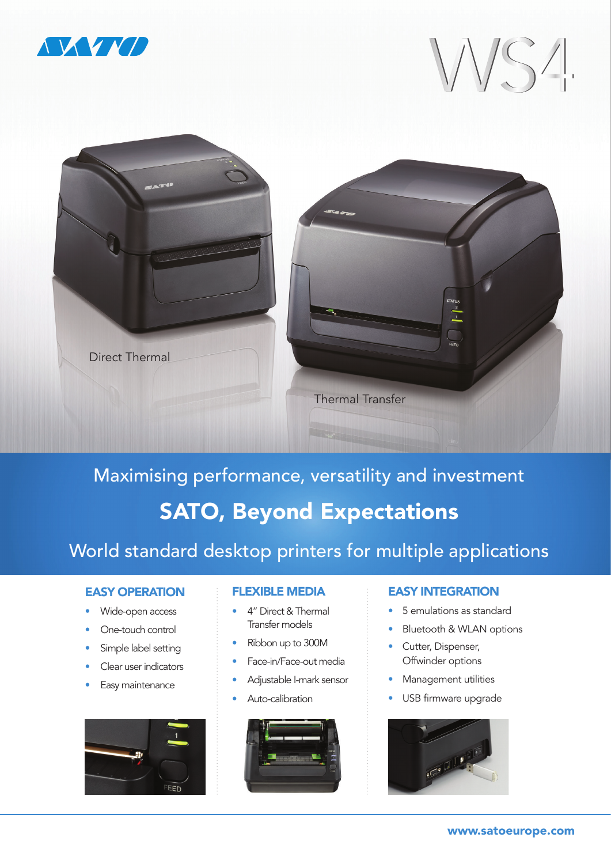

WS4



Maximising performance, versatility and investment SATO, Beyond Expectations

# World standard desktop printers for multiple applications

### EASY OPERATION

- Wide-open access
- One-touch control
- Simple label setting
- Clear user indicators
- Easy maintenance



### FLEXIBLE MEDIA

- 4" Direct & Thermal Transfer models
- Ribbon up to 300M
- Face-in/Face-out media
- Adjustable I-mark sensor
- Auto-calibration



## EASY INTEGRATION

- 5 emulations as standard
- Bluetooth & WLAN options
- Cutter, Dispenser, Offwinder options
- Management utilities
- USB firmware upgrade